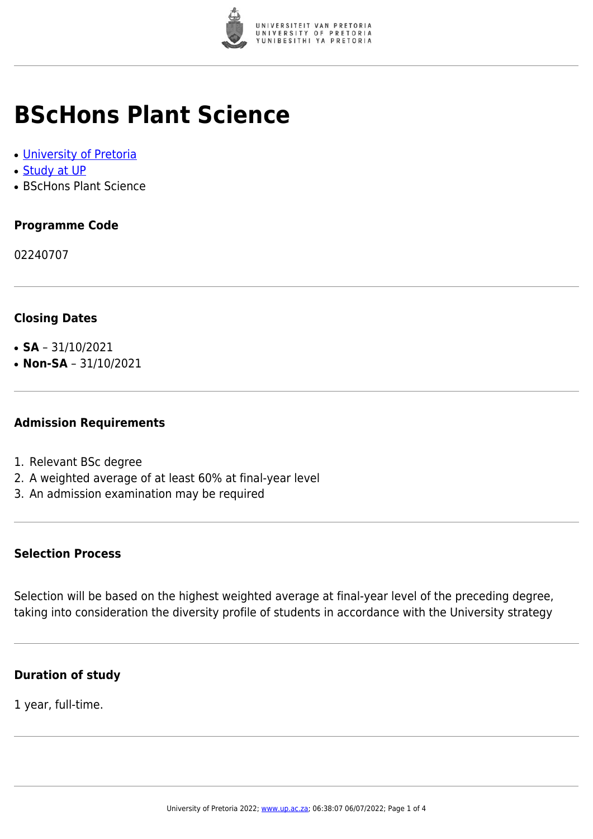

# **BScHons Plant Science**

- [University of Pretoria](https://www.up.ac.za/home)
- [Study at UP](https://www.up.ac.za/programmes)
- BScHons Plant Science

## **Programme Code**

02240707

### **Closing Dates**

- $\cdot$  **SA** 31/10/2021
- $\cdot$  **Non-SA** 31/10/2021

#### **Admission Requirements**

- 1. Relevant BSc degree
- 2. A weighted average of at least 60% at final-year level
- 3. An admission examination may be required

#### **Selection Process**

Selection will be based on the highest weighted average at final-year level of the preceding degree, taking into consideration the diversity profile of students in accordance with the University strategy

#### **Duration of study**

1 year, full-time.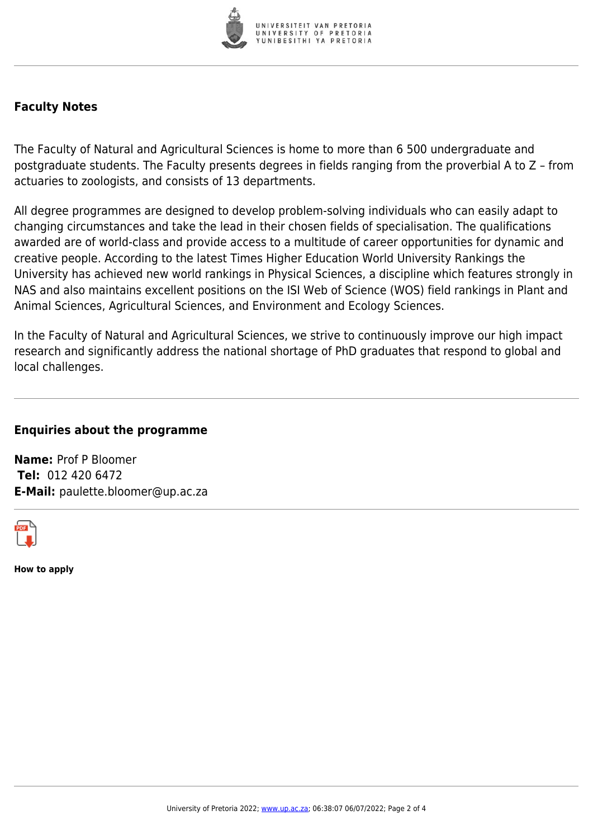

#### **Faculty Notes**

The Faculty of Natural and Agricultural Sciences is home to more than 6 500 undergraduate and postgraduate students. The Faculty presents degrees in fields ranging from the proverbial A to Z – from actuaries to zoologists, and consists of 13 departments.

All degree programmes are designed to develop problem-solving individuals who can easily adapt to changing circumstances and take the lead in their chosen fields of specialisation. The qualifications awarded are of world-class and provide access to a multitude of career opportunities for dynamic and creative people. According to the latest Times Higher Education World University Rankings the University has achieved new world rankings in Physical Sciences, a discipline which features strongly in NAS and also maintains excellent positions on the ISI Web of Science (WOS) field rankings in Plant and Animal Sciences, Agricultural Sciences, and Environment and Ecology Sciences.

In the Faculty of Natural and Agricultural Sciences, we strive to continuously improve our high impact research and significantly address the national shortage of PhD graduates that respond to global and local challenges.

#### **Enquiries about the programme**

**Name:** Prof P Bloomer **Tel:** 012 420 6472 **E-Mail:** paulette.bloomer@up.ac.za



**How to apply**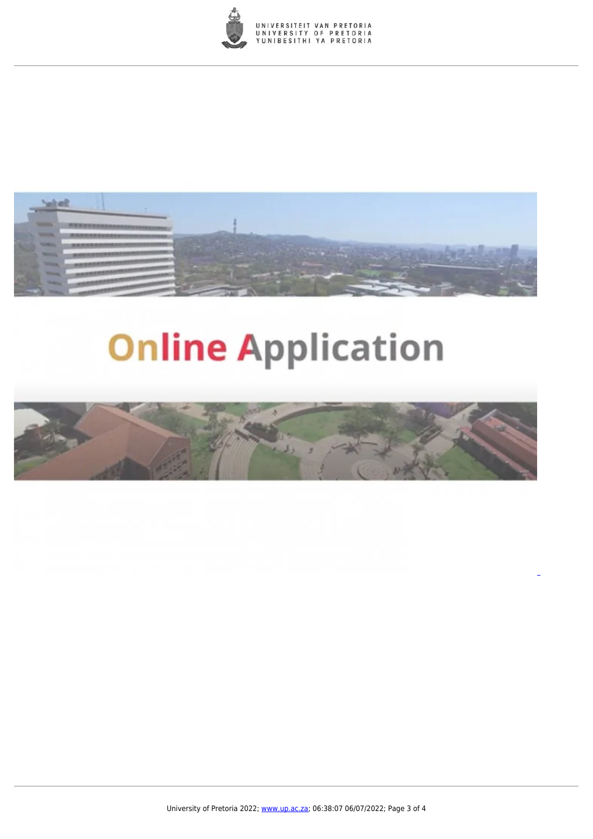



# **Online Application**